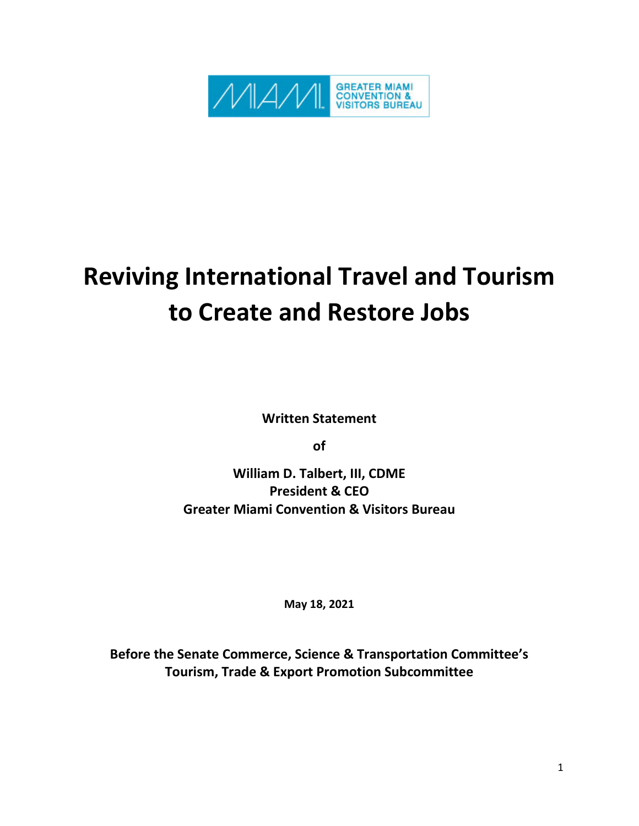

## **Reviving International Travel and Tourism to Create and Restore Jobs**

**Written Statement**

**of**

**William D. Talbert, III, CDME President & CEO Greater Miami Convention & Visitors Bureau**

**May 18, 2021**

**Before the Senate Commerce, Science & Transportation Committee's Tourism, Trade & Export Promotion Subcommittee**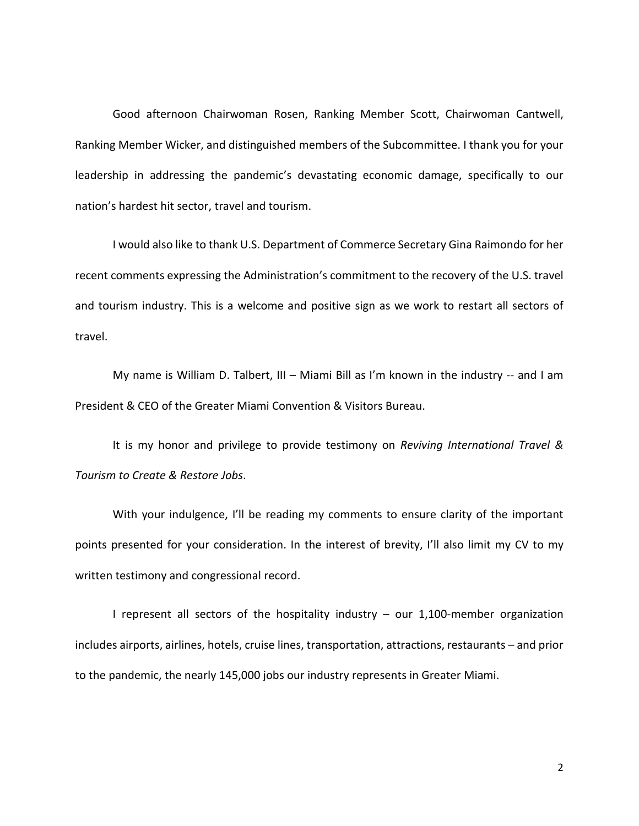Good afternoon Chairwoman Rosen, Ranking Member Scott, Chairwoman Cantwell, Ranking Member Wicker, and distinguished members of the Subcommittee. I thank you for your leadership in addressing the pandemic's devastating economic damage, specifically to our nation's hardest hit sector, travel and tourism.

I would also like to thank U.S. Department of Commerce Secretary Gina Raimondo for her recent comments expressing the Administration's commitment to the recovery of the U.S. travel and tourism industry. This is a welcome and positive sign as we work to restart all sectors of travel.

My name is William D. Talbert, III – Miami Bill as I'm known in the industry -- and I am President & CEO of the Greater Miami Convention & Visitors Bureau.

It is my honor and privilege to provide testimony on *Reviving International Travel & Tourism to Create & Restore Jobs*.

With your indulgence, I'll be reading my comments to ensure clarity of the important points presented for your consideration. In the interest of brevity, I'll also limit my CV to my written testimony and congressional record.

I represent all sectors of the hospitality industry – our 1,100-member organization includes airports, airlines, hotels, cruise lines, transportation, attractions, restaurants – and prior to the pandemic, the nearly 145,000 jobs our industry represents in Greater Miami.

2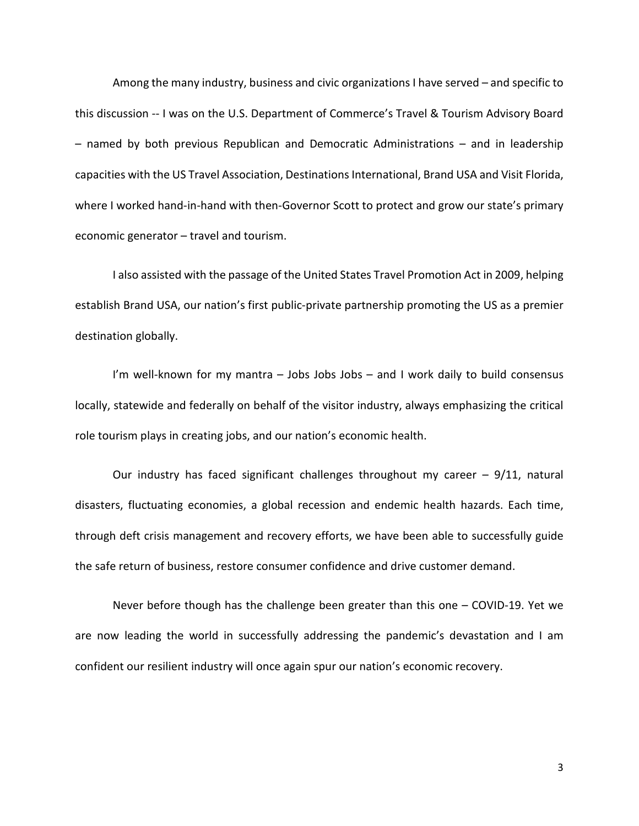Among the many industry, business and civic organizations I have served – and specific to this discussion -- I was on the U.S. Department of Commerce's Travel & Tourism Advisory Board – named by both previous Republican and Democratic Administrations – and in leadership capacities with the US Travel Association, Destinations International, Brand USA and Visit Florida, where I worked hand-in-hand with then-Governor Scott to protect and grow our state's primary economic generator – travel and tourism.

I also assisted with the passage of the United States Travel Promotion Act in 2009, helping establish Brand USA, our nation's first public-private partnership promoting the US as a premier destination globally.

I'm well-known for my mantra – Jobs Jobs Jobs – and I work daily to build consensus locally, statewide and federally on behalf of the visitor industry, always emphasizing the critical role tourism plays in creating jobs, and our nation's economic health.

Our industry has faced significant challenges throughout my career  $-9/11$ , natural disasters, fluctuating economies, a global recession and endemic health hazards. Each time, through deft crisis management and recovery efforts, we have been able to successfully guide the safe return of business, restore consumer confidence and drive customer demand.

Never before though has the challenge been greater than this one – COVID-19. Yet we are now leading the world in successfully addressing the pandemic's devastation and I am confident our resilient industry will once again spur our nation's economic recovery.

3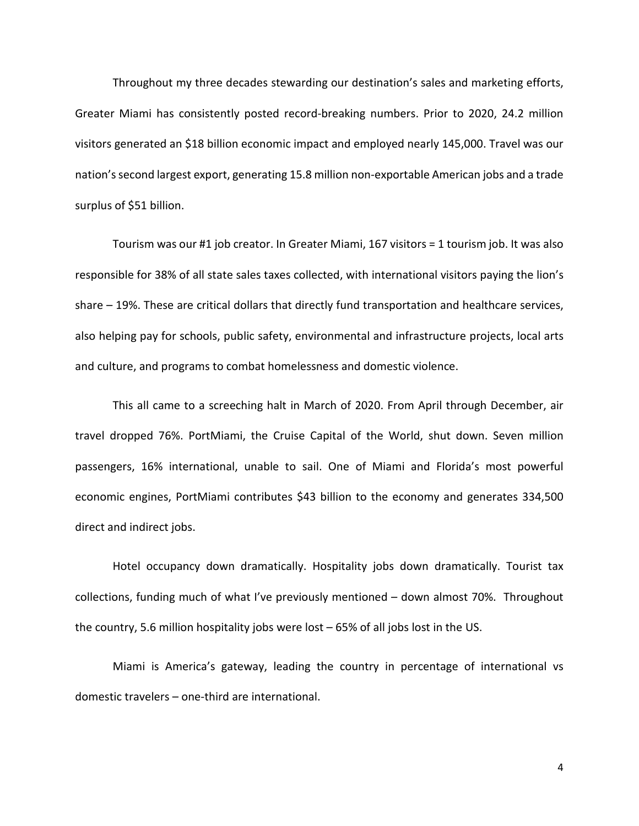Throughout my three decades stewarding our destination's sales and marketing efforts, Greater Miami has consistently posted record-breaking numbers. Prior to 2020, 24.2 million visitors generated an \$18 billion economic impact and employed nearly 145,000. Travel was our nation's second largest export, generating 15.8 million non-exportable American jobs and a trade surplus of \$51 billion.

Tourism was our #1 job creator. In Greater Miami, 167 visitors = 1 tourism job. It was also responsible for 38% of all state sales taxes collected, with international visitors paying the lion's share – 19%. These are critical dollars that directly fund transportation and healthcare services, also helping pay for schools, public safety, environmental and infrastructure projects, local arts and culture, and programs to combat homelessness and domestic violence.

This all came to a screeching halt in March of 2020. From April through December, air travel dropped 76%. PortMiami, the Cruise Capital of the World, shut down. Seven million passengers, 16% international, unable to sail. One of Miami and Florida's most powerful economic engines, PortMiami contributes \$43 billion to the economy and generates 334,500 direct and indirect jobs.

Hotel occupancy down dramatically. Hospitality jobs down dramatically. Tourist tax collections, funding much of what I've previously mentioned – down almost 70%. Throughout the country, 5.6 million hospitality jobs were lost – 65% of all jobs lost in the US.

Miami is America's gateway, leading the country in percentage of international vs domestic travelers – one-third are international.

4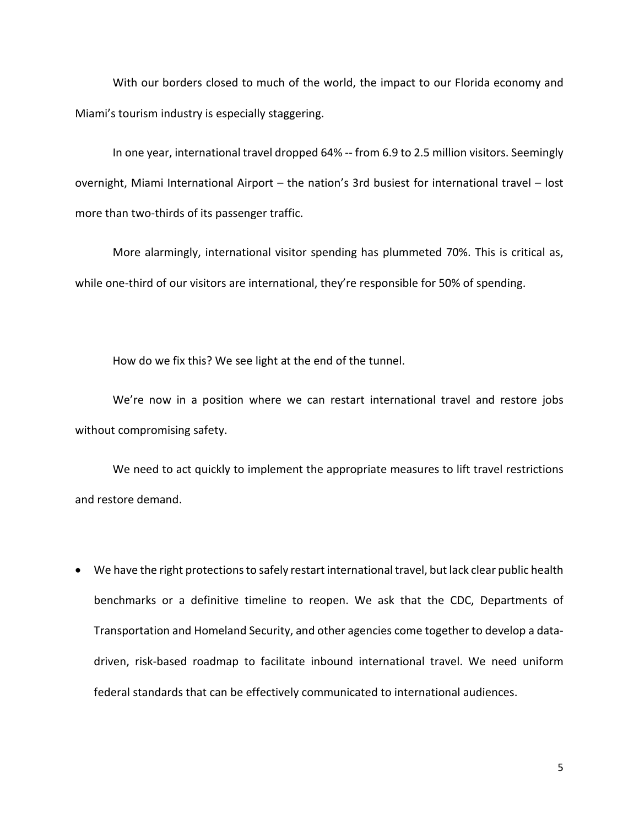With our borders closed to much of the world, the impact to our Florida economy and Miami's tourism industry is especially staggering.

In one year, international travel dropped 64% -- from 6.9 to 2.5 million visitors. Seemingly overnight, Miami International Airport – the nation's 3rd busiest for international travel – lost more than two-thirds of its passenger traffic.

More alarmingly, international visitor spending has plummeted 70%. This is critical as, while one-third of our visitors are international, they're responsible for 50% of spending.

How do we fix this? We see light at the end of the tunnel.

We're now in a position where we can restart international travel and restore jobs without compromising safety.

We need to act quickly to implement the appropriate measures to lift travel restrictions and restore demand.

• We have the right protections to safely restart international travel, but lack clear public health benchmarks or a definitive timeline to reopen. We ask that the CDC, Departments of Transportation and Homeland Security, and other agencies come together to develop a datadriven, risk-based roadmap to facilitate inbound international travel. We need uniform federal standards that can be effectively communicated to international audiences.